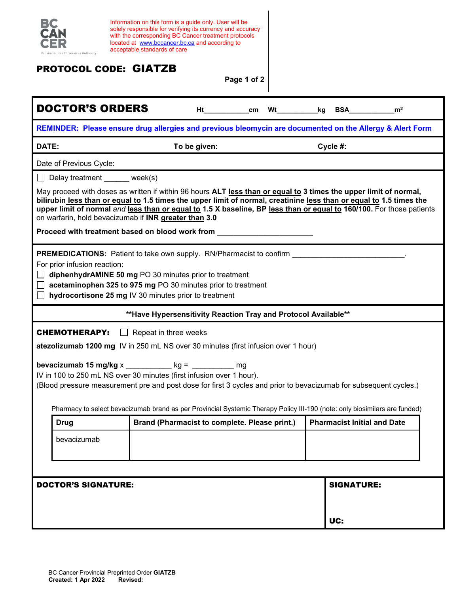

Information on this form is a guide only. User will be solely responsible for verifying its currency and accuracy with the corresponding BC Cancer treatment protocols located at [www.bccancer.bc.ca](http://www.bccancer.bc.ca/) and according to acceptable standards of care

## PROTOCOL CODE: GIATZB

**Page 1 of 2**

| <b>DOCTOR'S ORDERS</b>                                                                                                                                                                                                                                                                                                                                                                                                    |                                               |  | Ht_____________cm Wt____________kg BSA____________ | m <sup>2</sup> |  |
|---------------------------------------------------------------------------------------------------------------------------------------------------------------------------------------------------------------------------------------------------------------------------------------------------------------------------------------------------------------------------------------------------------------------------|-----------------------------------------------|--|----------------------------------------------------|----------------|--|
| REMINDER: Please ensure drug allergies and previous bleomycin are documented on the Allergy & Alert Form                                                                                                                                                                                                                                                                                                                  |                                               |  |                                                    |                |  |
| DATE:                                                                                                                                                                                                                                                                                                                                                                                                                     | To be given:                                  |  | Cycle #:                                           |                |  |
| Date of Previous Cycle:                                                                                                                                                                                                                                                                                                                                                                                                   |                                               |  |                                                    |                |  |
| Delay treatment ______ week(s)                                                                                                                                                                                                                                                                                                                                                                                            |                                               |  |                                                    |                |  |
| May proceed with doses as written if within 96 hours ALT less than or equal to 3 times the upper limit of normal,<br>bilirubin less than or equal to 1.5 times the upper limit of normal, creatinine less than or equal to 1.5 times the<br>upper limit of normal and less than or equal to 1.5 X baseline, BP less than or equal to 160/100. For those patients<br>on warfarin, hold bevacizumab if INR greater than 3.0 |                                               |  |                                                    |                |  |
| Proceed with treatment based on blood work from _                                                                                                                                                                                                                                                                                                                                                                         |                                               |  |                                                    |                |  |
| <b>PREMEDICATIONS:</b> Patient to take own supply. RN/Pharmacist to confirm<br>For prior infusion reaction:<br>diphenhydrAMINE 50 mg PO 30 minutes prior to treatment<br>acetaminophen 325 to 975 mg PO 30 minutes prior to treatment<br>hydrocortisone 25 mg IV 30 minutes prior to treatment                                                                                                                            |                                               |  |                                                    |                |  |
| ** Have Hypersensitivity Reaction Tray and Protocol Available**                                                                                                                                                                                                                                                                                                                                                           |                                               |  |                                                    |                |  |
| <b>CHEMOTHERAPY: Propect in three weeks</b><br>atezolizumab 1200 mg IV in 250 mL NS over 30 minutes (first infusion over 1 hour)                                                                                                                                                                                                                                                                                          |                                               |  |                                                    |                |  |
| bevacizumab 15 mg/kg x ___________ kg = __________ mg<br>IV in 100 to 250 mL NS over 30 minutes (first infusion over 1 hour).<br>(Blood pressure measurement pre and post dose for first 3 cycles and prior to bevacizumab for subsequent cycles.)<br>Pharmacy to select bevacizumab brand as per Provincial Systemic Therapy Policy III-190 (note: only biosimilars are funded)                                          |                                               |  |                                                    |                |  |
| <b>Drug</b>                                                                                                                                                                                                                                                                                                                                                                                                               | Brand (Pharmacist to complete. Please print.) |  | <b>Pharmacist Initial and Date</b>                 |                |  |
| bevacizumab                                                                                                                                                                                                                                                                                                                                                                                                               |                                               |  |                                                    |                |  |
| <b>SIGNATURE:</b><br><b>DOCTOR'S SIGNATURE:</b>                                                                                                                                                                                                                                                                                                                                                                           |                                               |  |                                                    |                |  |
|                                                                                                                                                                                                                                                                                                                                                                                                                           |                                               |  |                                                    |                |  |
|                                                                                                                                                                                                                                                                                                                                                                                                                           |                                               |  | UC:                                                |                |  |